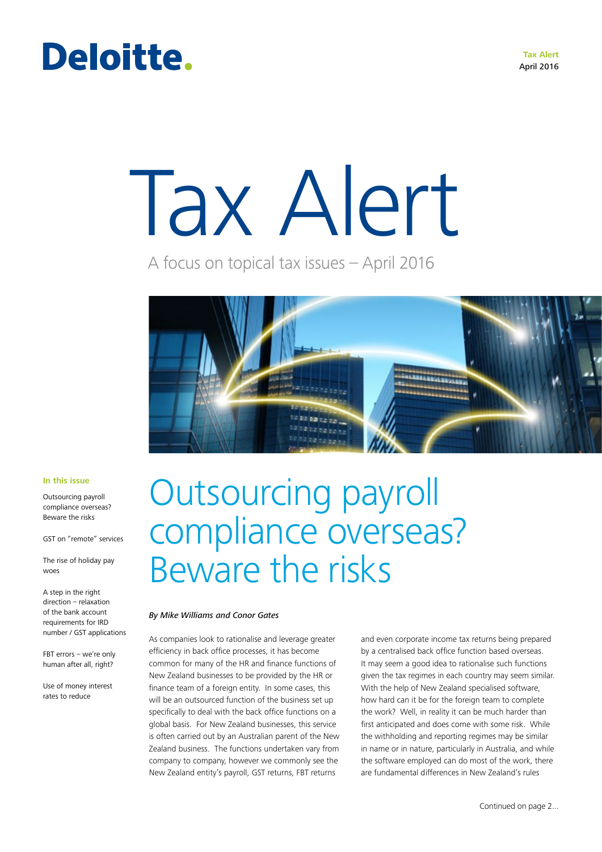#### **Tax Alert** April 2016

### Deloitte.

# Tax Alert

A focus on topical tax issues – April 2016



#### **In this issue**

Outsourcing payroll compliance overseas? Beware the risks

GST on "remote" services

The rise of holiday pay woes

A step in the right direction – relaxation of the bank account requirements for IRD number / GST applications

FBT errors – we're only human after all, right?

Use of money interest rates to reduce

### Outsourcing payroll compliance overseas? Beware the risks

#### *By Mike Williams and Conor Gates*

As companies look to rationalise and leverage greater efficiency in back office processes, it has become common for many of the HR and finance functions of New Zealand businesses to be provided by the HR or finance team of a foreign entity. In some cases, this will be an outsourced function of the business set up specifically to deal with the back office functions on a global basis. For New Zealand businesses, this service is often carried out by an Australian parent of the New Zealand business. The functions undertaken vary from company to company, however we commonly see the New Zealand entity's payroll, GST returns, FBT returns

and even corporate income tax returns being prepared by a centralised back office function based overseas. It may seem a good idea to rationalise such functions given the tax regimes in each country may seem similar. With the help of New Zealand specialised software, how hard can it be for the foreign team to complete the work? Well, in reality it can be much harder than first anticipated and does come with some risk. While the withholding and reporting regimes may be similar in name or in nature, particularly in Australia, and while the software employed can do most of the work, there are fundamental differences in New Zealand's rules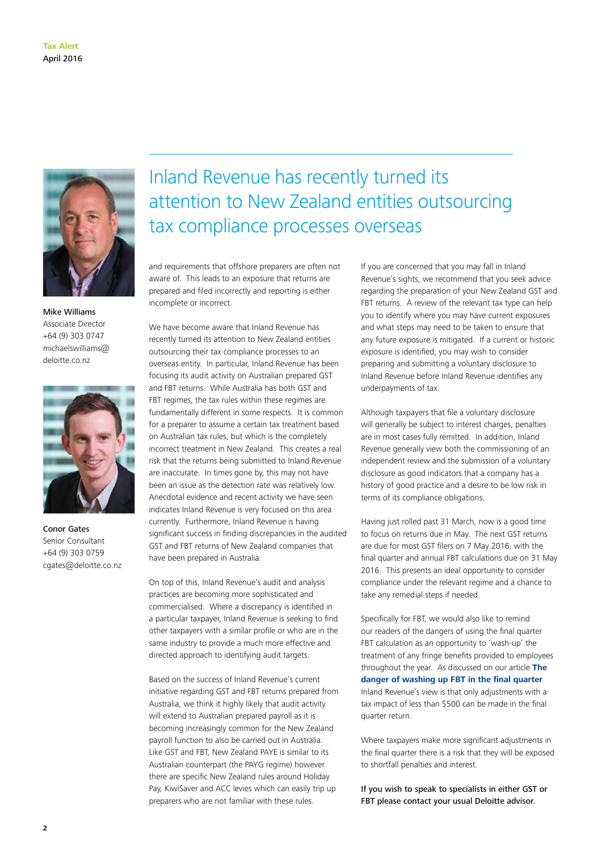

Mike Williams Associate Director +64 (9) 303 0747 michaelswilliams@ deloitte.co.nz



Conor Gates Senior Consultant +64 (9) 303 0759 cgates@deloitte.co.nz

### Inland Revenue has recently turned its attention to New Zealand entities outsourcing tax compliance processes overseas

and requirements that offshore preparers are often not aware of. This leads to an exposure that returns are prepared and filed incorrectly and reporting is either incomplete or incorrect.

We have become aware that Inland Revenue has recently turned its attention to New Zealand entities outsourcing their tax compliance processes to an overseas entity. In particular, Inland Revenue has been focusing its audit activity on Australian prepared GST and FBT returns. While Australia has both GST and FBT regimes, the tax rules within these regimes are fundamentally different in some respects. It is common for a preparer to assume a certain tax treatment based on Australian tax rules, but which is the completely incorrect treatment in New Zealand. This creates a real risk that the returns being submitted to Inland Revenue are inaccurate. In times gone by, this may not have been an issue as the detection rate was relatively low. Anecdotal evidence and recent activity we have seen indicates Inland Revenue is very focused on this area currently. Furthermore, Inland Revenue is having significant success in finding discrepancies in the audited GST and FBT returns of New Zealand companies that have been prepared in Australia.

On top of this, Inland Revenue's audit and analysis practices are becoming more sophisticated and commercialised. Where a discrepancy is identified in a particular taxpayer, Inland Revenue is seeking to find other taxpayers with a similar profile or who are in the same industry to provide a much more effective and directed approach to identifying audit targets.

Based on the success of Inland Revenue's current initiative regarding GST and FBT returns prepared from Australia, we think it highly likely that audit activity will extend to Australian prepared payroll as it is becoming increasingly common for the New Zealand payroll function to also be carried out in Australia. Like GST and FBT, New Zealand PAYE is similar to its Australian counterpart (the PAYG regime) however there are specific New Zealand rules around Holiday Pay, KiwiSaver and ACC levies which can easily trip up preparers who are not familiar with these rules.

If you are concerned that you may fall in Inland Revenue's sights, we recommend that you seek advice regarding the preparation of your New Zealand GST and FBT returns. A review of the relevant tax type can help you to identify where you may have current exposures and what steps may need to be taken to ensure that any future exposure is mitigated. If a current or historic exposure is identified, you may wish to consider preparing and submitting a voluntary disclosure to Inland Revenue before Inland Revenue identifies any underpayments of tax.

Although taxpayers that file a voluntary disclosure will generally be subject to interest charges, penalties are in most cases fully remitted. In addition, Inland Revenue generally view both the commissioning of an independent review and the submission of a voluntary disclosure as good indicators that a company has a history of good practice and a desire to be low risk in terms of its compliance obligations.

Having just rolled past 31 March, now is a good time to focus on returns due in May. The next GST returns are due for most GST filers on 7 May 2016, with the final quarter and annual FBT calculations due on 31 May 2016. This presents an ideal opportunity to consider compliance under the relevant regime and a chance to take any remedial steps if needed.

Specifically for FBT, we would also like to remind our readers of the dangers of using the final quarter FBT calculation as an opportunity to 'wash-up' the treatment of any fringe benefits provided to employees throughout the year. As discussed on our article **[The](http://www2.deloitte.com/nz/en/pages/tax-alerts/articles/the-danger-of-washing-up-fbt-in-the-final-quarter.html)  [danger of washing up FBT in the final quarter](http://www2.deloitte.com/nz/en/pages/tax-alerts/articles/the-danger-of-washing-up-fbt-in-the-final-quarter.html)** Inland Revenue's view is that only adjustments with a tax impact of less than \$500 can be made in the final quarter return.

Where taxpayers make more significant adjustments in the final quarter there is a risk that they will be exposed to shortfall penalties and interest.

If you wish to speak to specialists in either GST or FBT please contact your usual Deloitte advisor.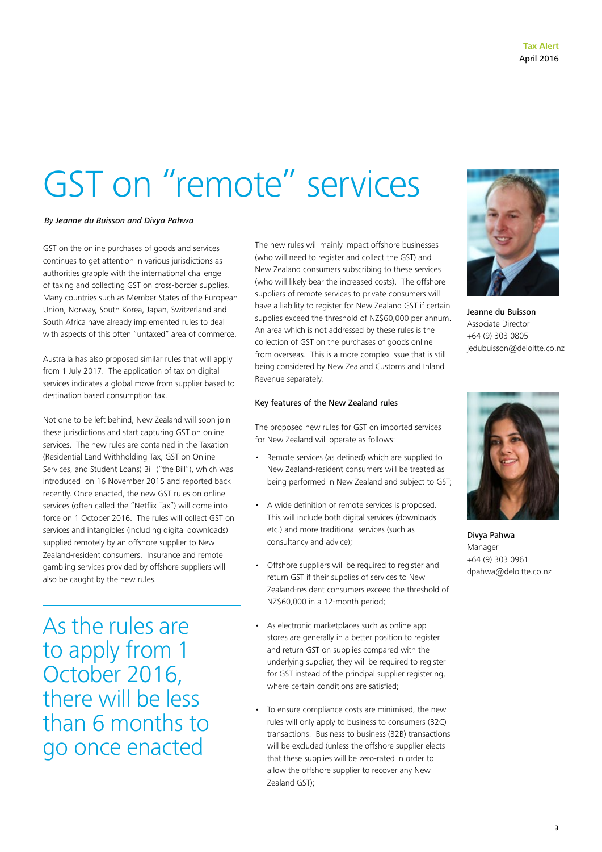## <span id="page-2-0"></span>GST on "remote" services

#### *By Jeanne du Buisson and Divya Pahwa*

GST on the online purchases of goods and services continues to get attention in various jurisdictions as authorities grapple with the international challenge of taxing and collecting GST on cross-border supplies. Many countries such as Member States of the European Union, Norway, South Korea, Japan, Switzerland and South Africa have already implemented rules to deal with aspects of this often "untaxed" area of commerce.

Australia has also proposed similar rules that will apply from 1 July 2017. The application of tax on digital services indicates a global move from supplier based to destination based consumption tax.

Not one to be left behind, New Zealand will soon join these jurisdictions and start capturing GST on online services. The new rules are contained in the Taxation (Residential Land Withholding Tax, GST on Online Services, and Student Loans) Bill ("the Bill"), which was introduced on 16 November 2015 and reported back recently. Once enacted, the new GST rules on online services (often called the "Netflix Tax") will come into force on 1 October 2016. The rules will collect GST on services and intangibles (including digital downloads) supplied remotely by an offshore supplier to New Zealand-resident consumers. Insurance and remote gambling services provided by offshore suppliers will also be caught by the new rules.

As the rules are to apply from 1 October 2016, there will be less than 6 months to go once enacted

The new rules will mainly impact offshore businesses (who will need to register and collect the GST) and New Zealand consumers subscribing to these services (who will likely bear the increased costs). The offshore suppliers of remote services to private consumers will have a liability to register for New Zealand GST if certain supplies exceed the threshold of NZ\$60,000 per annum. An area which is not addressed by these rules is the collection of GST on the purchases of goods online from overseas. This is a more complex issue that is still being considered by New Zealand Customs and Inland Revenue separately.

#### Key features of the New Zealand rules

The proposed new rules for GST on imported services for New Zealand will operate as follows:

- Remote services (as defined) which are supplied to New Zealand-resident consumers will be treated as being performed in New Zealand and subject to GST;
- A wide definition of remote services is proposed. This will include both digital services (downloads etc.) and more traditional services (such as consultancy and advice);
- Offshore suppliers will be required to register and return GST if their supplies of services to New Zealand-resident consumers exceed the threshold of NZ\$60,000 in a 12-month period;
- As electronic marketplaces such as online app stores are generally in a better position to register and return GST on supplies compared with the underlying supplier, they will be required to register for GST instead of the principal supplier registering. where certain conditions are satisfied;
- To ensure compliance costs are minimised, the new rules will only apply to business to consumers (B2C) transactions. Business to business (B2B) transactions will be excluded (unless the offshore supplier elects that these supplies will be zero-rated in order to allow the offshore supplier to recover any New Zealand GST);



Jeanne du Buisson Associate Director +64 (9) 303 0805 jedubuisson@deloitte.co.nz



Divya Pahwa Manager +64 (9) 303 0961 dpahwa@deloitte.co.nz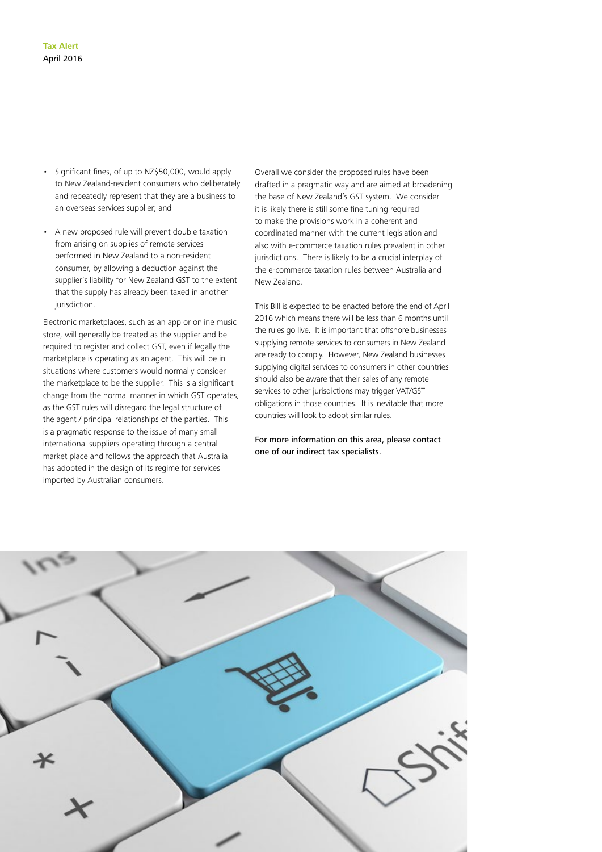- Significant fines, of up to NZ\$50,000, would apply to New Zealand-resident consumers who deliberately and repeatedly represent that they are a business to an overseas services supplier; and
- A new proposed rule will prevent double taxation from arising on supplies of remote services performed in New Zealand to a non-resident consumer, by allowing a deduction against the supplier's liability for New Zealand GST to the extent that the supply has already been taxed in another jurisdiction.

Electronic marketplaces, such as an app or online music store, will generally be treated as the supplier and be required to register and collect GST, even if legally the marketplace is operating as an agent. This will be in situations where customers would normally consider the marketplace to be the supplier. This is a significant change from the normal manner in which GST operates, as the GST rules will disregard the legal structure of the agent / principal relationships of the parties. This is a pragmatic response to the issue of many small international suppliers operating through a central market place and follows the approach that Australia has adopted in the design of its regime for services imported by Australian consumers.

Overall we consider the proposed rules have been drafted in a pragmatic way and are aimed at broadening the base of New Zealand's GST system. We consider it is likely there is still some fine tuning required to make the provisions work in a coherent and coordinated manner with the current legislation and also with e-commerce taxation rules prevalent in other jurisdictions. There is likely to be a crucial interplay of the e-commerce taxation rules between Australia and New Zealand.

This Bill is expected to be enacted before the end of April 2016 which means there will be less than 6 months until the rules go live. It is important that offshore businesses supplying remote services to consumers in New Zealand are ready to comply. However, New Zealand businesses supplying digital services to consumers in other countries should also be aware that their sales of any remote services to other jurisdictions may trigger VAT/GST obligations in those countries. It is inevitable that more countries will look to adopt similar rules.

For more information on this area, please contact one of our indirect tax specialists.

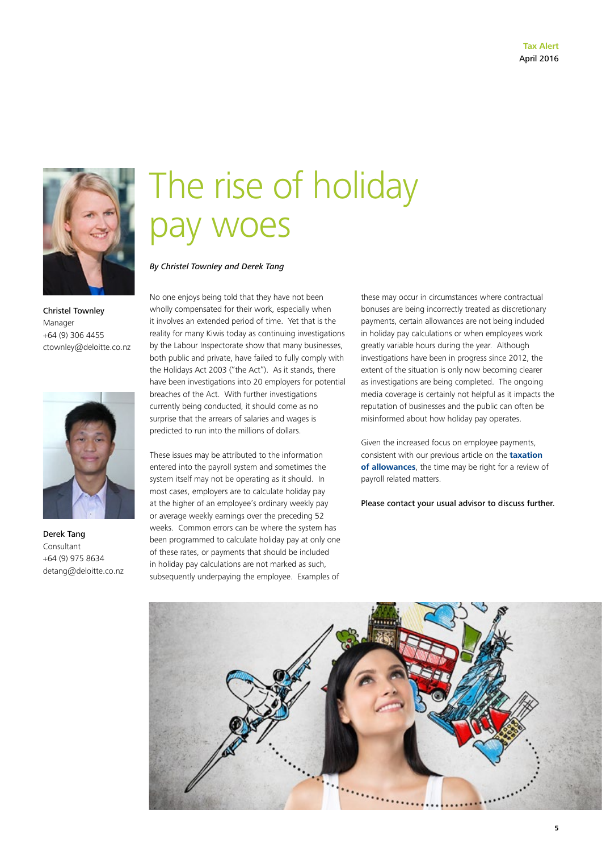

Christel Townley Manager +64 (9) 306 4455 ctownley@deloitte.co.nz



Derek Tang Consultant +64 (9) 975 8634 detang@deloitte.co.nz

### The rise of holiday pay woes

*By Christel Townley and Derek Tang*

No one enjoys being told that they have not been wholly compensated for their work, especially when it involves an extended period of time. Yet that is the reality for many Kiwis today as continuing investigations by the Labour Inspectorate show that many businesses, both public and private, have failed to fully comply with the Holidays Act 2003 ("the Act"). As it stands, there have been investigations into 20 employers for potential breaches of the Act. With further investigations currently being conducted, it should come as no surprise that the arrears of salaries and wages is predicted to run into the millions of dollars.

These issues may be attributed to the information entered into the payroll system and sometimes the system itself may not be operating as it should. In most cases, employers are to calculate holiday pay at the higher of an employee's ordinary weekly pay or average weekly earnings over the preceding 52 weeks. Common errors can be where the system has been programmed to calculate holiday pay at only one of these rates, or payments that should be included in holiday pay calculations are not marked as such, subsequently underpaying the employee. Examples of

these may occur in circumstances where contractual bonuses are being incorrectly treated as discretionary payments, certain allowances are not being included in holiday pay calculations or when employees work greatly variable hours during the year. Although investigations have been in progress since 2012, the extent of the situation is only now becoming clearer as investigations are being completed. The ongoing media coverage is certainly not helpful as it impacts the reputation of businesses and the public can often be misinformed about how holiday pay operates.

Given the increased focus on employee payments, consistent with our previous article on the **[taxation](http://www2.deloitte.com/nz/en/pages/tax-alerts/articles/collective-agreements-and-employee-allowances.html)  [of allowances](http://www2.deloitte.com/nz/en/pages/tax-alerts/articles/collective-agreements-and-employee-allowances.html)**, the time may be right for a review of payroll related matters.

Please contact your usual advisor to discuss further.

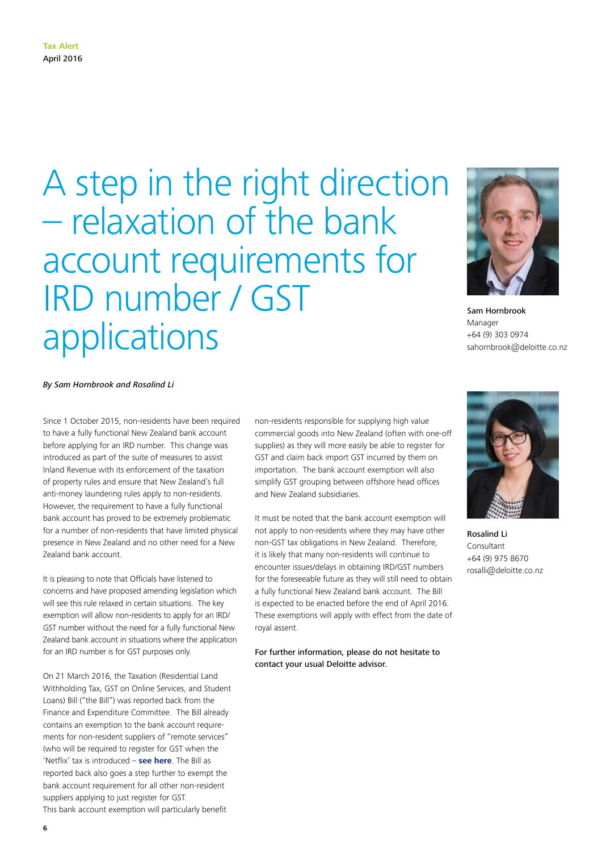### A step in the right direction – relaxation of the bank account requirements for IRD number / GST applications



Sam Hornbrook Manager +64 (9) 303 0974 sahornbrook@deloitte.co.nz

#### *By Sam Hornbrook and Rosalind Li*

Since 1 October 2015, non-residents have been required to have a fully functional New Zealand bank account before applying for an IRD number. This change was introduced as part of the suite of measures to assist Inland Revenue with its enforcement of the taxation of property rules and ensure that New Zealand's full anti-money laundering rules apply to non-residents. However, the requirement to have a fully functional bank account has proved to be extremely problematic for a number of non-residents that have limited physical presence in New Zealand and no other need for a New Zealand bank account.

It is pleasing to note that Officials have listened to concerns and have proposed amending legislation which will see this rule relaxed in certain situations. The key exemption will allow non-residents to apply for an IRD/ GST number without the need for a fully functional New Zealand bank account in situations where the application for an IRD number is for GST purposes only.

On 21 March 2016, the Taxation (Residential Land Withholding Tax, GST on Online Services, and Student Loans) Bill ("the Bill") was reported back from the Finance and Expenditure Committee. The Bill already contains an exemption to the bank account requirements for non-resident suppliers of "remote services" (who will be required to register for GST when the 'Netflix' tax is introduced – **[see here](#page-2-0)**. The Bill as reported back also goes a step further to exempt the bank account requirement for all other non-resident suppliers applying to just register for GST. This bank account exemption will particularly benefit

non-residents responsible for supplying high value commercial goods into New Zealand (often with one-off supplies) as they will more easily be able to register for GST and claim back import GST incurred by them on importation. The bank account exemption will also simplify GST grouping between offshore head offices and New Zealand subsidiaries.

It must be noted that the bank account exemption will not apply to non-residents where they may have other non-GST tax obligations in New Zealand. Therefore, it is likely that many non-residents will continue to encounter issues/delays in obtaining IRD/GST numbers for the foreseeable future as they will still need to obtain a fully functional New Zealand bank account. The Bill is expected to be enacted before the end of April 2016. These exemptions will apply with effect from the date of royal assent.

For further information, please do not hesitate to contact your usual Deloitte advisor.



Rosalind Li Consultant +64 (9) 975 8670 rosalli@deloitte.co.nz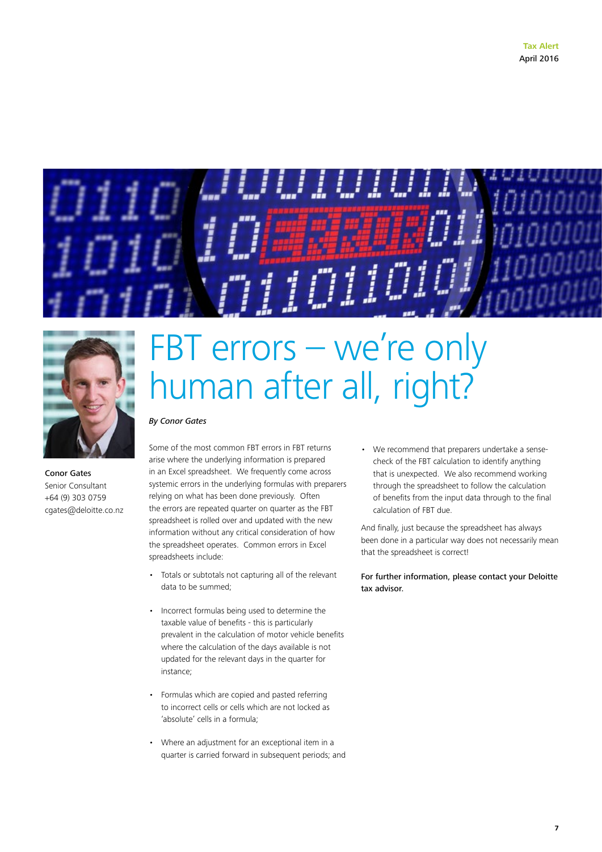



Conor Gates Senior Consultant +64 (9) 303 0759 cgates@deloitte.co.nz

### FBT errors – we're only human after all, right?

#### *By Conor Gates*

Some of the most common FBT errors in FBT returns arise where the underlying information is prepared in an Excel spreadsheet. We frequently come across systemic errors in the underlying formulas with preparers relying on what has been done previously. Often the errors are repeated quarter on quarter as the FBT spreadsheet is rolled over and updated with the new information without any critical consideration of how the spreadsheet operates. Common errors in Excel spreadsheets include:

- Totals or subtotals not capturing all of the relevant data to be summed;
- Incorrect formulas being used to determine the taxable value of benefits - this is particularly prevalent in the calculation of motor vehicle benefits where the calculation of the days available is not updated for the relevant days in the quarter for instance;
- Formulas which are copied and pasted referring to incorrect cells or cells which are not locked as 'absolute' cells in a formula;
- Where an adjustment for an exceptional item in a quarter is carried forward in subsequent periods; and

• We recommend that preparers undertake a sensecheck of the FBT calculation to identify anything that is unexpected. We also recommend working through the spreadsheet to follow the calculation of benefits from the input data through to the final calculation of FBT due.

And finally, just because the spreadsheet has always been done in a particular way does not necessarily mean that the spreadsheet is correct!

For further information, please contact your Deloitte tax advisor.